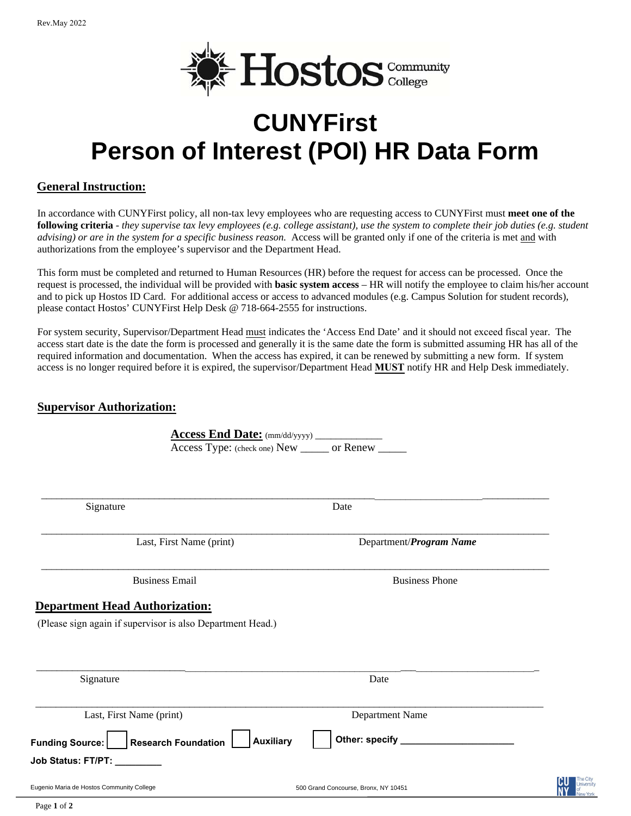

# **CUNYFirst Person of Interest (POI) HR Data Form**

### **General Instruction:**

In accordance with CUNYFirst policy, all non-tax levy employees who are requesting access to CUNYFirst must **meet one of the following criteria** - *they supervise tax levy employees (e.g. college assistant), use the system to complete their job duties (e.g. student advising) or are in the system for a specific business reason.* Access will be granted only if one of the criteria is met and with authorizations from the employee's supervisor and the Department Head.

This form must be completed and returned to Human Resources (HR) before the request for access can be processed. Once the request is processed, the individual will be provided with **basic system access** – HR will notify the employee to claim his/her account and to pick up Hostos ID Card. For additional access or access to advanced modules (e.g. Campus Solution for student records), please contact Hostos' CUNYFirst Help Desk @ 718-664-2555 for instructions.

For system security, Supervisor/Department Head must indicates the 'Access End Date' and it should not exceed fiscal year. The access start date is the date the form is processed and generally it is the same date the form is submitted assuming HR has all of the required information and documentation. When the access has expired, it can be renewed by submitting a new form. If system access is no longer required before it is expired, the supervisor/Department Head **MUST** notify HR and Help Desk immediately.

#### **Supervisor Authorization:**

|                                                                                                     | Access Type: (check one) New ______ or Renew _____ | <b>Access End Date:</b> (mm/dd/yyyy) _____________ |  |
|-----------------------------------------------------------------------------------------------------|----------------------------------------------------|----------------------------------------------------|--|
| Signature                                                                                           |                                                    | Date                                               |  |
|                                                                                                     | Last, First Name (print)                           | Department/Program Name                            |  |
| <b>Business Email</b>                                                                               |                                                    | <b>Business Phone</b>                              |  |
| <b>Department Head Authorization:</b><br>(Please sign again if supervisor is also Department Head.) |                                                    |                                                    |  |
|                                                                                                     |                                                    |                                                    |  |
|                                                                                                     |                                                    |                                                    |  |
| Signature<br>Last, First Name (print)                                                               |                                                    | Date<br>Department Name                            |  |
|                                                                                                     | <b>Auxiliary</b>                                   | Other: specify _____                               |  |
| Funding Source:     Research Foundation<br>Job Status: FT/PT: ________                              |                                                    |                                                    |  |